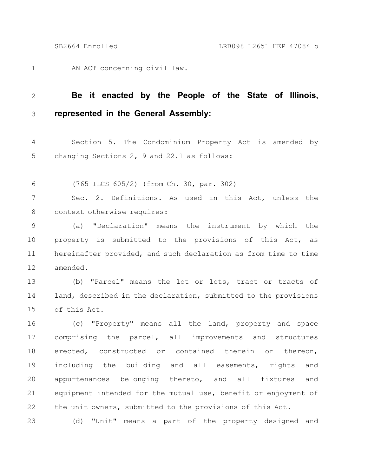AN ACT concerning civil law. 1

## **Be it enacted by the People of the State of Illinois, represented in the General Assembly:** 2 3

Section 5. The Condominium Property Act is amended by changing Sections 2, 9 and 22.1 as follows: 4 5

(765 ILCS 605/2) (from Ch. 30, par. 302) 6

Sec. 2. Definitions. As used in this Act, unless the context otherwise requires: 7 8

(a) "Declaration" means the instrument by which the property is submitted to the provisions of this Act, as hereinafter provided, and such declaration as from time to time amended. 9 10 11 12

(b) "Parcel" means the lot or lots, tract or tracts of land, described in the declaration, submitted to the provisions of this Act. 13 14 15

(c) "Property" means all the land, property and space comprising the parcel, all improvements and structures erected, constructed or contained therein or thereon, including the building and all easements, rights and appurtenances belonging thereto, and all fixtures and equipment intended for the mutual use, benefit or enjoyment of the unit owners, submitted to the provisions of this Act. 16 17 18 19 20 21 22

(d) "Unit" means a part of the property designed and 23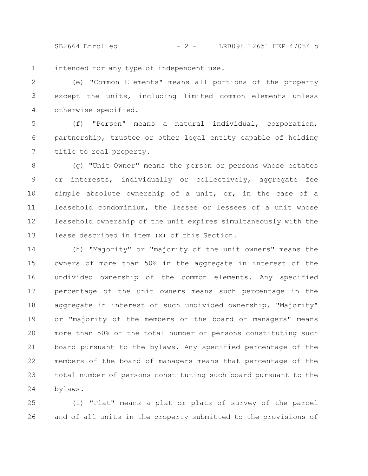SB2664 Enrolled - 2 - LRB098 12651 HEP 47084 b

intended for any type of independent use. 1

(e) "Common Elements" means all portions of the property except the units, including limited common elements unless otherwise specified. 2 3 4

(f) "Person" means a natural individual, corporation, partnership, trustee or other legal entity capable of holding title to real property. 5 6 7

(g) "Unit Owner" means the person or persons whose estates or interests, individually or collectively, aggregate fee simple absolute ownership of a unit, or, in the case of a leasehold condominium, the lessee or lessees of a unit whose leasehold ownership of the unit expires simultaneously with the lease described in item (x) of this Section. 8 9 10 11 12 13

(h) "Majority" or "majority of the unit owners" means the owners of more than 50% in the aggregate in interest of the undivided ownership of the common elements. Any specified percentage of the unit owners means such percentage in the aggregate in interest of such undivided ownership. "Majority" or "majority of the members of the board of managers" means more than 50% of the total number of persons constituting such board pursuant to the bylaws. Any specified percentage of the members of the board of managers means that percentage of the total number of persons constituting such board pursuant to the bylaws. 14 15 16 17 18 19 20 21 22 23 24

(i) "Plat" means a plat or plats of survey of the parcel and of all units in the property submitted to the provisions of 25 26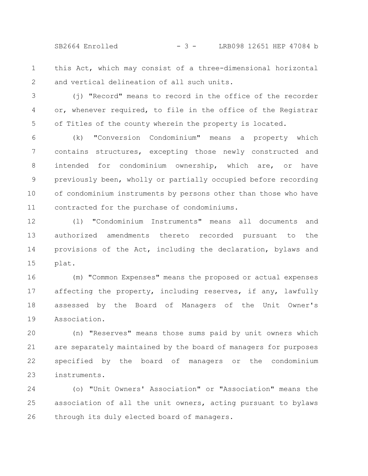SB2664 Enrolled - 3 - LRB098 12651 HEP 47084 b

- this Act, which may consist of a three-dimensional horizontal and vertical delineation of all such units. 1 2
- (j) "Record" means to record in the office of the recorder or, whenever required, to file in the office of the Registrar of Titles of the county wherein the property is located. 3 4 5

(k) "Conversion Condominium" means a property which contains structures, excepting those newly constructed and intended for condominium ownership, which are, or have previously been, wholly or partially occupied before recording of condominium instruments by persons other than those who have contracted for the purchase of condominiums. 6 7 8 9 10 11

(l) "Condominium Instruments" means all documents and authorized amendments thereto recorded pursuant to the provisions of the Act, including the declaration, bylaws and plat. 12 13 14 15

(m) "Common Expenses" means the proposed or actual expenses affecting the property, including reserves, if any, lawfully assessed by the Board of Managers of the Unit Owner's Association. 16 17 18 19

(n) "Reserves" means those sums paid by unit owners which are separately maintained by the board of managers for purposes specified by the board of managers or the condominium instruments. 20 21 22 23

(o) "Unit Owners' Association" or "Association" means the association of all the unit owners, acting pursuant to bylaws through its duly elected board of managers. 24 25 26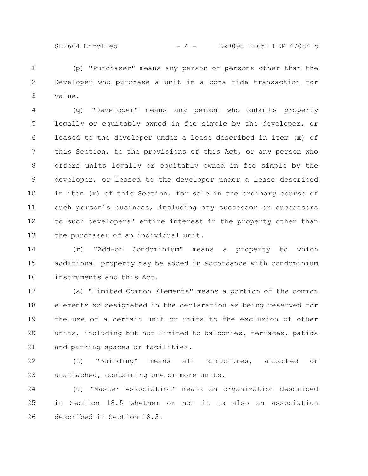SB2664 Enrolled - 4 - LRB098 12651 HEP 47084 b

(p) "Purchaser" means any person or persons other than the Developer who purchase a unit in a bona fide transaction for value. 1 2 3

(q) "Developer" means any person who submits property legally or equitably owned in fee simple by the developer, or leased to the developer under a lease described in item (x) of this Section, to the provisions of this Act, or any person who offers units legally or equitably owned in fee simple by the developer, or leased to the developer under a lease described in item (x) of this Section, for sale in the ordinary course of such person's business, including any successor or successors to such developers' entire interest in the property other than the purchaser of an individual unit. 4 5 6 7 8 9 10 11 12 13

(r) "Add-on Condominium" means a property to which additional property may be added in accordance with condominium instruments and this Act. 14 15 16

(s) "Limited Common Elements" means a portion of the common elements so designated in the declaration as being reserved for the use of a certain unit or units to the exclusion of other units, including but not limited to balconies, terraces, patios and parking spaces or facilities. 17 18 19 20 21

(t) "Building" means all structures, attached or unattached, containing one or more units. 22 23

(u) "Master Association" means an organization described in Section 18.5 whether or not it is also an association described in Section 18.3. 24 25 26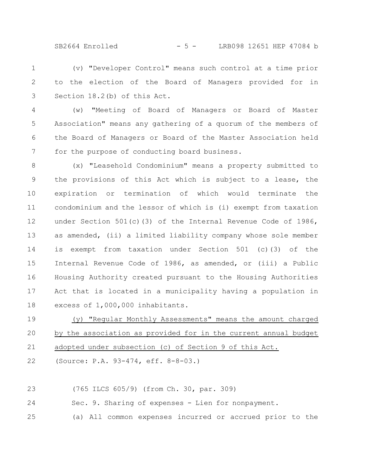SB2664 Enrolled - 5 - LRB098 12651 HEP 47084 b

(v) "Developer Control" means such control at a time prior to the election of the Board of Managers provided for in Section 18.2(b) of this Act. 1 2 3

(w) "Meeting of Board of Managers or Board of Master Association" means any gathering of a quorum of the members of the Board of Managers or Board of the Master Association held for the purpose of conducting board business. 4 5 6 7

(x) "Leasehold Condominium" means a property submitted to the provisions of this Act which is subject to a lease, the expiration or termination of which would terminate the condominium and the lessor of which is (i) exempt from taxation under Section 501(c)(3) of the Internal Revenue Code of 1986, as amended, (ii) a limited liability company whose sole member is exempt from taxation under Section 501 (c)(3) of the Internal Revenue Code of 1986, as amended, or (iii) a Public Housing Authority created pursuant to the Housing Authorities Act that is located in a municipality having a population in excess of 1,000,000 inhabitants. 8 9 10 11 12 13 14 15 16 17 18

(y) "Regular Monthly Assessments" means the amount charged by the association as provided for in the current annual budget adopted under subsection (c) of Section 9 of this Act. 19 20 21

(Source: P.A. 93-474, eff. 8-8-03.) 22

(765 ILCS 605/9) (from Ch. 30, par. 309) 23

Sec. 9. Sharing of expenses - Lien for nonpayment. 24

(a) All common expenses incurred or accrued prior to the 25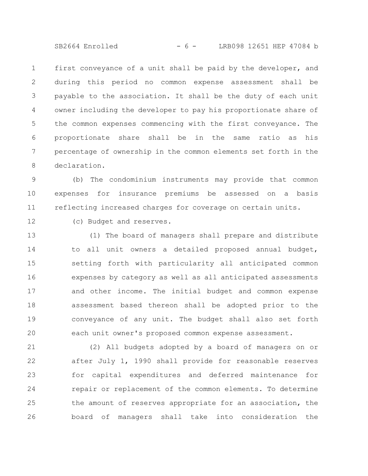SB2664 Enrolled - 6 - LRB098 12651 HEP 47084 b

first conveyance of a unit shall be paid by the developer, and during this period no common expense assessment shall be payable to the association. It shall be the duty of each unit owner including the developer to pay his proportionate share of the common expenses commencing with the first conveyance. The proportionate share shall be in the same ratio as his percentage of ownership in the common elements set forth in the declaration. 1 2 3 4 5 6 7 8

(b) The condominium instruments may provide that common expenses for insurance premiums be assessed on a basis reflecting increased charges for coverage on certain units. 9 10 11

12

(c) Budget and reserves.

(1) The board of managers shall prepare and distribute to all unit owners a detailed proposed annual budget, setting forth with particularity all anticipated common expenses by category as well as all anticipated assessments and other income. The initial budget and common expense assessment based thereon shall be adopted prior to the conveyance of any unit. The budget shall also set forth each unit owner's proposed common expense assessment. 13 14 15 16 17 18 19 20

(2) All budgets adopted by a board of managers on or after July 1, 1990 shall provide for reasonable reserves for capital expenditures and deferred maintenance for repair or replacement of the common elements. To determine the amount of reserves appropriate for an association, the board of managers shall take into consideration the 21 22 23 24 25 26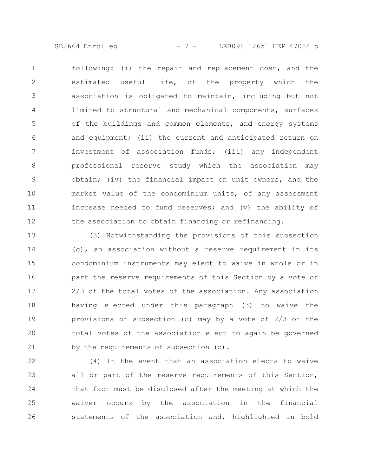SB2664 Enrolled - 7 - LRB098 12651 HEP 47084 b

following: (i) the repair and replacement cost, and the estimated useful life, of the property which the association is obligated to maintain, including but not limited to structural and mechanical components, surfaces of the buildings and common elements, and energy systems and equipment; (ii) the current and anticipated return on investment of association funds; (iii) any independent professional reserve study which the association may obtain; (iv) the financial impact on unit owners, and the market value of the condominium units, of any assessment increase needed to fund reserves; and (v) the ability of the association to obtain financing or refinancing. 1 2 3 4 5 6 7 8 9 10 11 12

(3) Notwithstanding the provisions of this subsection (c), an association without a reserve requirement in its condominium instruments may elect to waive in whole or in part the reserve requirements of this Section by a vote of 2/3 of the total votes of the association. Any association having elected under this paragraph (3) to waive the provisions of subsection (c) may by a vote of 2/3 of the total votes of the association elect to again be governed by the requirements of subsection (c). 13 14 15 16 17 18 19 20 21

(4) In the event that an association elects to waive all or part of the reserve requirements of this Section, that fact must be disclosed after the meeting at which the waiver occurs by the association in the financial statements of the association and, highlighted in bold 22 23 24 25 26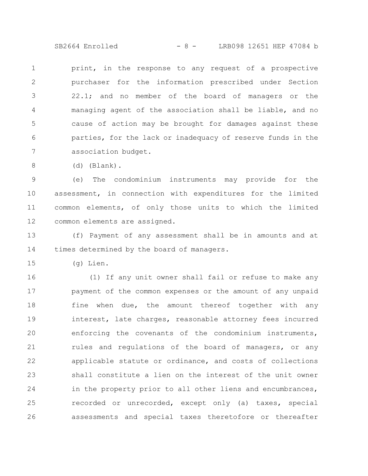SB2664 Enrolled - 8 - LRB098 12651 HEP 47084 b

print, in the response to any request of a prospective purchaser for the information prescribed under Section 22.1; and no member of the board of managers or the managing agent of the association shall be liable, and no cause of action may be brought for damages against these parties, for the lack or inadequacy of reserve funds in the association budget. 1 2 3 4 5 6 7

(d) (Blank). 8

(e) The condominium instruments may provide for the assessment, in connection with expenditures for the limited common elements, of only those units to which the limited common elements are assigned. 9 10 11 12

(f) Payment of any assessment shall be in amounts and at times determined by the board of managers. 13 14

(g) Lien. 15

(1) If any unit owner shall fail or refuse to make any payment of the common expenses or the amount of any unpaid fine when due, the amount thereof together with any interest, late charges, reasonable attorney fees incurred enforcing the covenants of the condominium instruments, rules and regulations of the board of managers, or any applicable statute or ordinance, and costs of collections shall constitute a lien on the interest of the unit owner in the property prior to all other liens and encumbrances, recorded or unrecorded, except only (a) taxes, special assessments and special taxes theretofore or thereafter 16 17 18 19 20 21 22 23 24 25 26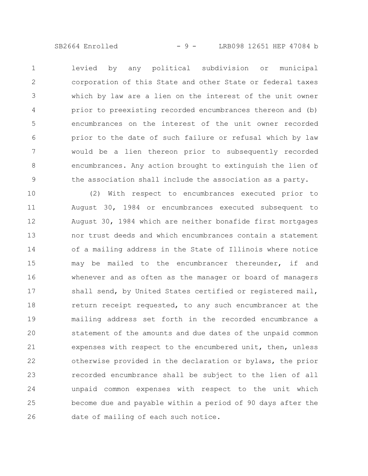SB2664 Enrolled - 9 - LRB098 12651 HEP 47084 b

levied by any political subdivision or municipal corporation of this State and other State or federal taxes which by law are a lien on the interest of the unit owner prior to preexisting recorded encumbrances thereon and (b) encumbrances on the interest of the unit owner recorded prior to the date of such failure or refusal which by law would be a lien thereon prior to subsequently recorded encumbrances. Any action brought to extinguish the lien of the association shall include the association as a party. 1 2 3 4 5 6 7 8 9

(2) With respect to encumbrances executed prior to August 30, 1984 or encumbrances executed subsequent to August 30, 1984 which are neither bonafide first mortgages nor trust deeds and which encumbrances contain a statement of a mailing address in the State of Illinois where notice may be mailed to the encumbrancer thereunder, if and whenever and as often as the manager or board of managers shall send, by United States certified or registered mail, return receipt requested, to any such encumbrancer at the mailing address set forth in the recorded encumbrance a statement of the amounts and due dates of the unpaid common expenses with respect to the encumbered unit, then, unless otherwise provided in the declaration or bylaws, the prior recorded encumbrance shall be subject to the lien of all unpaid common expenses with respect to the unit which become due and payable within a period of 90 days after the date of mailing of each such notice. 10 11 12 13 14 15 16 17 18 19 20 21 22 23 24 25 26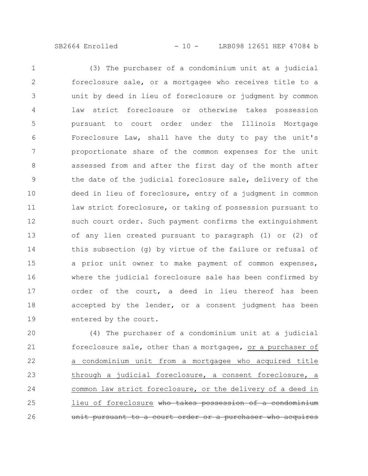SB2664 Enrolled - 10 - LRB098 12651 HEP 47084 b

(3) The purchaser of a condominium unit at a judicial foreclosure sale, or a mortgagee who receives title to a unit by deed in lieu of foreclosure or judgment by common law strict foreclosure or otherwise takes possession pursuant to court order under the Illinois Mortgage Foreclosure Law, shall have the duty to pay the unit's proportionate share of the common expenses for the unit assessed from and after the first day of the month after the date of the judicial foreclosure sale, delivery of the deed in lieu of foreclosure, entry of a judgment in common law strict foreclosure, or taking of possession pursuant to such court order. Such payment confirms the extinguishment of any lien created pursuant to paragraph (1) or (2) of this subsection (g) by virtue of the failure or refusal of a prior unit owner to make payment of common expenses, where the judicial foreclosure sale has been confirmed by order of the court, a deed in lieu thereof has been accepted by the lender, or a consent judgment has been entered by the court. 1 2 3 4 5 6 7 8 9 10 11 12 13 14 15 16 17 18 19

(4) The purchaser of a condominium unit at a judicial foreclosure sale, other than a mortgagee, or a purchaser of a condominium unit from a mortgagee who acquired title through a judicial foreclosure, a consent foreclosure, a common law strict foreclosure, or the delivery of a deed in lieu of foreclosure who takes possession of a condominium unit pursuant to a court order or a purchaser who 20 21 22 23 24 25 26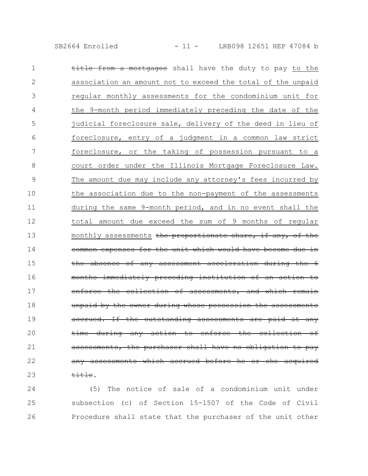SB2664 Enrolled - 11 - LRB098 12651 HEP 47084 b

| 1            | from a mortgagee shall have the duty to pay to the                  |
|--------------|---------------------------------------------------------------------|
| $\mathbf{2}$ | association an amount not to exceed the total of the unpaid         |
| 3            | regular monthly assessments for the condominium unit for            |
| 4            | the 9-month period immediately preceding the date of the            |
| 5            | judicial foreclosure sale, delivery of the deed in lieu of          |
| 6            | foreclosure, entry of a judgment in a common law strict             |
| 7            | foreclosure, or the taking of possession pursuant to a              |
| 8            | court order under the Illinois Mortgage Foreclosure Law.            |
| 9            | The amount due may include any attorney's fees incurred by          |
| 10           | the association due to the non-payment of the assessments           |
| 11           | during the same 9-month period, and in no event shall the           |
| 12           | total amount due exceed the sum of 9 months of regular              |
| 13           | monthly assessments the proportionate share, if any, of the         |
| 14           | common expenses for the unit which would have become due in         |
| 15           | the absence of any assessment acceleration during the 6             |
| 16           | months immediately preceding institution of an action to            |
| 17           | enforce the collection of assessments, and which remain             |
| 18           | unpaid by the owner during whose possession the assessments         |
| 19           | accrued. If the outstanding assessments are paid at any             |
| 20           | during any action to enforce the collection of<br><del>time -</del> |
| 21           | assessments, the purchaser shall have no obligation to pay          |
| 22           | any assessments which accrued before he or she acquired             |
| 23           | <del>title</del> .                                                  |

(5) The notice of sale of a condominium unit under subsection (c) of Section 15-1507 of the Code of Civil 25 Procedure shall state that the purchaser of the unit other 24 26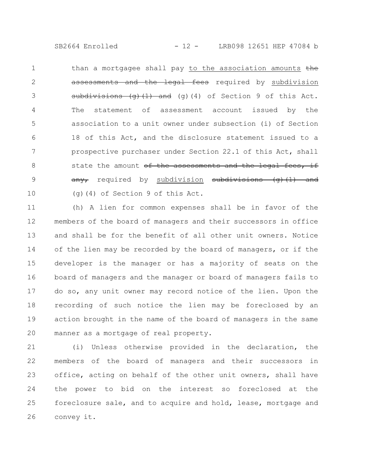SB2664 Enrolled - 12 - LRB098 12651 HEP 47084 b

than a mortgagee shall pay to the association amounts the assessments and the legal fees required by subdivision subdivisions (g)(1) and (g)(4) of Section 9 of this Act. The statement of assessment account issued by the association to a unit owner under subsection (i) of Section 18 of this Act, and the disclosure statement issued to a prospective purchaser under Section 22.1 of this Act, shall state the amount of the assessments and the legal fees, any, required by subdivision subdivisions (g)(1) (g)(4) of Section 9 of this Act. 1 2 3 4 5 6 7 8 9 10

(h) A lien for common expenses shall be in favor of the members of the board of managers and their successors in office and shall be for the benefit of all other unit owners. Notice of the lien may be recorded by the board of managers, or if the developer is the manager or has a majority of seats on the board of managers and the manager or board of managers fails to do so, any unit owner may record notice of the lien. Upon the recording of such notice the lien may be foreclosed by an action brought in the name of the board of managers in the same manner as a mortgage of real property. 11 12 13 14 15 16 17 18 19 20

(i) Unless otherwise provided in the declaration, the members of the board of managers and their successors in office, acting on behalf of the other unit owners, shall have the power to bid on the interest so foreclosed at the foreclosure sale, and to acquire and hold, lease, mortgage and convey it. 21 22 23 24 25 26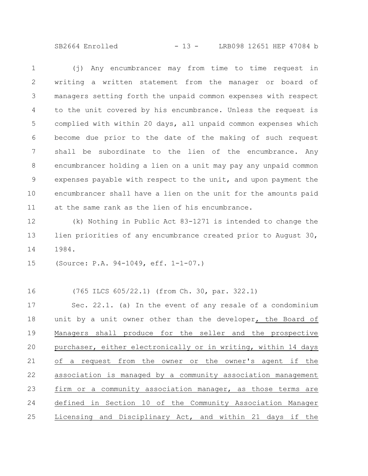SB2664 Enrolled - 13 - LRB098 12651 HEP 47084 b

(j) Any encumbrancer may from time to time request in writing a written statement from the manager or board of managers setting forth the unpaid common expenses with respect to the unit covered by his encumbrance. Unless the request is complied with within 20 days, all unpaid common expenses which become due prior to the date of the making of such request shall be subordinate to the lien of the encumbrance. Any encumbrancer holding a lien on a unit may pay any unpaid common expenses payable with respect to the unit, and upon payment the encumbrancer shall have a lien on the unit for the amounts paid at the same rank as the lien of his encumbrance. 1 2 3 4 5 6 7 8 9 10 11

(k) Nothing in Public Act 83-1271 is intended to change the lien priorities of any encumbrance created prior to August 30, 1984. 12 13 14

(Source: P.A. 94-1049, eff. 1-1-07.) 15

(765 ILCS 605/22.1) (from Ch. 30, par. 322.1) Sec. 22.1. (a) In the event of any resale of a condominium unit by a unit owner other than the developer, the Board of Managers shall produce for the seller and the prospective purchaser, either electronically or in writing, within 14 days of a request from the owner or the owner's agent if the association is managed by a community association management firm or a community association manager, as those terms are defined in Section 10 of the Community Association Manager Licensing and Disciplinary Act, and within 21 days if the 16 17 18 19 20 21 22 23 24 25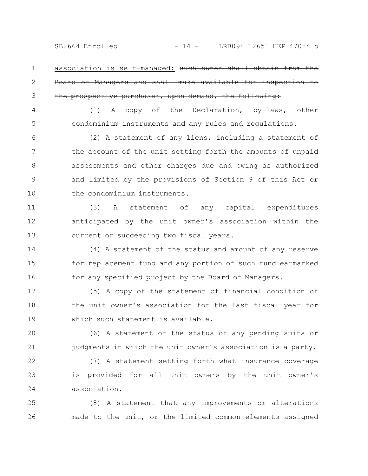association is self-managed: such owner shall obtain Board of Managers and shall make available for inspection to the prospective purchaser, upon demand, the following: 1 2 3

4

5

(1) A copy of the Declaration, by-laws, other condominium instruments and any rules and regulations.

(2) A statement of any liens, including a statement of the account of the unit setting forth the amounts of unpaid assessments and other charges due and owing as authorized and limited by the provisions of Section 9 of this Act or the condominium instruments. 6 7 8 9 10

(3) A statement of any capital expenditures anticipated by the unit owner's association within the current or succeeding two fiscal years. 11 12 13

(4) A statement of the status and amount of any reserve for replacement fund and any portion of such fund earmarked for any specified project by the Board of Managers. 14 15 16

(5) A copy of the statement of financial condition of the unit owner's association for the last fiscal year for which such statement is available. 17 18 19

(6) A statement of the status of any pending suits or judgments in which the unit owner's association is a party. 20 21

(7) A statement setting forth what insurance coverage is provided for all unit owners by the unit owner's association. 22 23 24

(8) A statement that any improvements or alterations made to the unit, or the limited common elements assigned 25 26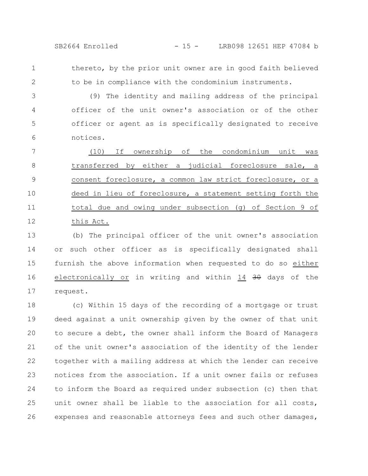thereto, by the prior unit owner are in good faith believed to be in compliance with the condominium instruments. 1 2

(9) The identity and mailing address of the principal officer of the unit owner's association or of the other officer or agent as is specifically designated to receive notices. 3 4 5 6

(10) If ownership of the condominium unit was transferred by either a judicial foreclosure sale, a consent foreclosure, a common law strict foreclosure, or a deed in lieu of foreclosure, a statement setting forth the total due and owing under subsection (g) of Section 9 of this Act. 7 8 9 10 11 12

(b) The principal officer of the unit owner's association or such other officer as is specifically designated shall furnish the above information when requested to do so either electronically or in writing and within 14 30 days of the request. 13 14 15 16 17

(c) Within 15 days of the recording of a mortgage or trust deed against a unit ownership given by the owner of that unit to secure a debt, the owner shall inform the Board of Managers of the unit owner's association of the identity of the lender together with a mailing address at which the lender can receive notices from the association. If a unit owner fails or refuses to inform the Board as required under subsection (c) then that unit owner shall be liable to the association for all costs, expenses and reasonable attorneys fees and such other damages, 18 19 20 21 22 23 24 25 26